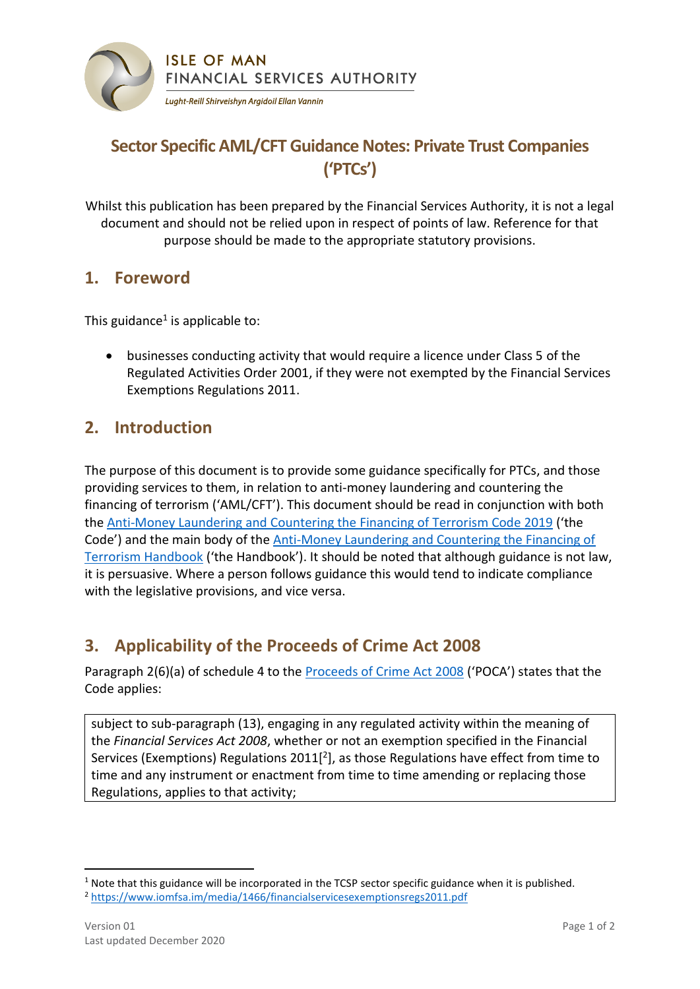

# **Sector Specific AML/CFT Guidance Notes: Private Trust Companies ('PTCs')**

Whilst this publication has been prepared by the Financial Services Authority, it is not a legal document and should not be relied upon in respect of points of law. Reference for that purpose should be made to the appropriate statutory provisions.

#### **1. Foreword**

This guidance<sup>1</sup> is applicable to:

 businesses conducting activity that would require a licence under Class 5 of the Regulated Activities Order 2001, if they were not exempted by the Financial Services Exemptions Regulations 2011.

## **2. Introduction**

The purpose of this document is to provide some guidance specifically for PTCs, and those providing services to them, in relation to anti-money laundering and countering the financing of terrorism ('AML/CFT'). This document should be read in conjunction with both the [Anti-Money Laundering and Countering the Financing of Terrorism Code 2019](https://www.iomfsa.im/amlcft/amlcft-requirements-and-guidance/) ('the Code') and the main body of the [Anti-Money Laundering and Countering the Financing of](https://www.iomfsa.im/amlcft/amlcft-requirements-and-guidance/)  Terrorism [Handbook](https://www.iomfsa.im/amlcft/amlcft-requirements-and-guidance/) ('the Handbook'). It should be noted that although guidance is not law, it is persuasive. Where a person follows guidance this would tend to indicate compliance with the legislative provisions, and vice versa.

## **3. Applicability of the Proceeds of Crime Act 2008**

Paragraph 2(6)(a) of schedule 4 to the [Proceeds of Crime Act 2008](https://legislation.gov.im/cms/images/LEGISLATION/PRINCIPAL/2008/2008-0013/ProceedsofCrimeAct2008_22.pdf) ('POCA') states that the Code applies:

subject to sub-paragraph (13), engaging in any regulated activity within the meaning of the *Financial Services Act 2008*, whether or not an exemption specified in the Financial Services (Exemptions) Regulations 2011 $[2]$ , as those Regulations have effect from time to time and any instrument or enactment from time to time amending or replacing those Regulations, applies to that activity;

-

 $1$  Note that this guidance will be incorporated in the TCSP sector specific guidance when it is published. <sup>2</sup> <https://www.iomfsa.im/media/1466/financialservicesexemptionsregs2011.pdf>